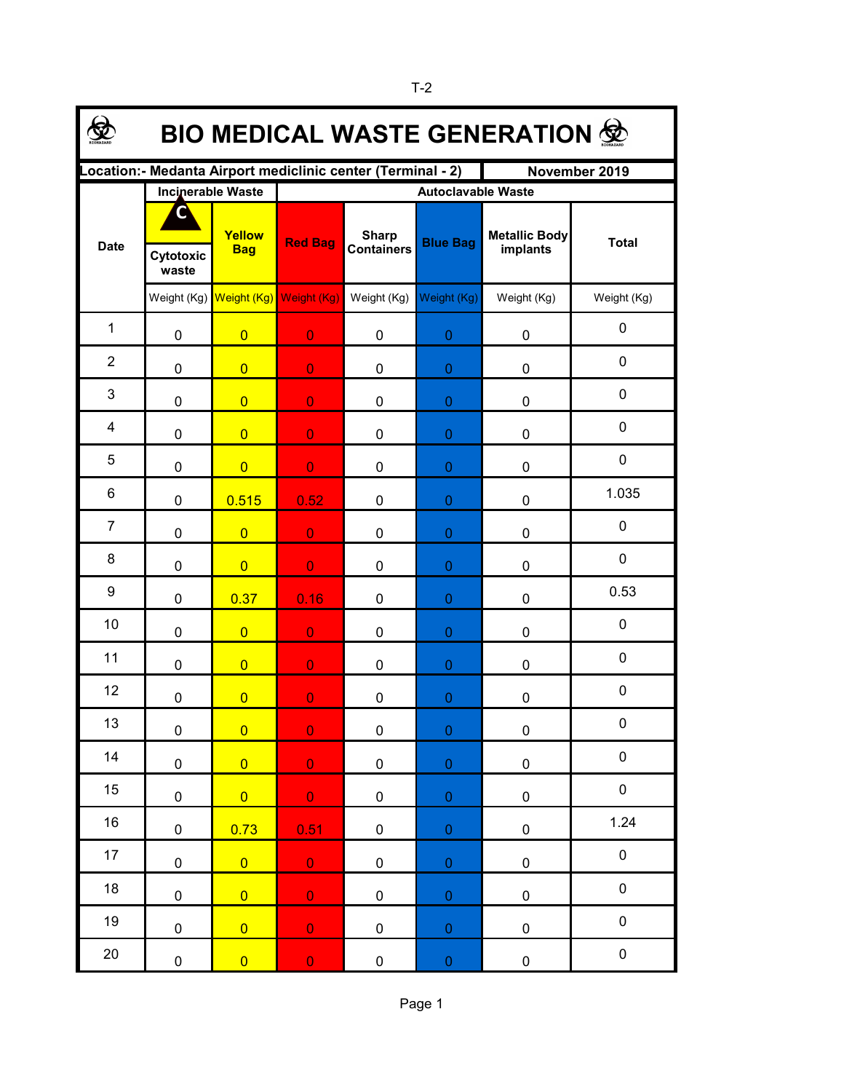| <b>BIO MEDICAL WASTE GENERATION 佥</b>                                        |                          |                                     |                           |                                   |                  |                                  |              |  |  |  |
|------------------------------------------------------------------------------|--------------------------|-------------------------------------|---------------------------|-----------------------------------|------------------|----------------------------------|--------------|--|--|--|
| Location:- Medanta Airport mediclinic center (Terminal - 2)<br>November 2019 |                          |                                     |                           |                                   |                  |                                  |              |  |  |  |
| <b>Date</b>                                                                  | <b>Incinerable Waste</b> |                                     | <b>Autoclavable Waste</b> |                                   |                  |                                  |              |  |  |  |
|                                                                              | ۸                        | Yellow<br><b>Bag</b>                | <b>Red Bag</b>            | <b>Sharp</b><br><b>Containers</b> | <b>Blue Bag</b>  | <b>Metallic Body</b><br>implants | <b>Total</b> |  |  |  |
|                                                                              | Cytotoxic<br>waste       |                                     |                           |                                   |                  |                                  |              |  |  |  |
|                                                                              |                          | Weight (Kg) Weight (Kg) Weight (Kg) |                           | Weight (Kg) Weight (Kg)           |                  | Weight (Kg)                      | Weight (Kg)  |  |  |  |
| $\mathbf 1$                                                                  | $\mathbf 0$              | $\overline{0}$                      | $\overline{0}$            | 0                                 | 0                | 0                                | 0            |  |  |  |
| $\overline{2}$                                                               | $\mathbf 0$              | $\overline{0}$                      | $\overline{0}$            | 0                                 | $\boldsymbol{0}$ | 0                                | 0            |  |  |  |
| 3                                                                            | 0                        | $\overline{0}$                      | $\overline{0}$            | 0                                 | $\boldsymbol{0}$ | 0                                | 0            |  |  |  |
| 4                                                                            | 0                        | $\overline{0}$                      | $\overline{0}$            | 0                                 | $\boldsymbol{0}$ | 0                                | 0            |  |  |  |
| 5                                                                            | $\pmb{0}$                | $\overline{0}$                      | $\overline{0}$            | 0                                 | $\boldsymbol{0}$ | 0                                | 0            |  |  |  |
| 6                                                                            | 0                        | 0.515                               | 0.52                      | 0                                 | $\boldsymbol{0}$ | 0                                | 1.035        |  |  |  |
| $\overline{7}$                                                               | 0                        | $\overline{0}$                      | $\overline{0}$            | 0                                 | $\boldsymbol{0}$ | 0                                | 0            |  |  |  |
| 8                                                                            | $\pmb{0}$                | $\overline{0}$                      | $\overline{0}$            | 0                                 | $\boldsymbol{0}$ | 0                                | 0            |  |  |  |
| 9                                                                            | $\pmb{0}$                | 0.37                                | 0.16                      | 0                                 | $\boldsymbol{0}$ | 0                                | 0.53         |  |  |  |
| 10                                                                           | $\mathbf 0$              | $\overline{0}$                      | $\overline{0}$            | 0                                 | $\boldsymbol{0}$ | 0                                | 0            |  |  |  |
| 11                                                                           | $\mathbf 0$              | $\overline{0}$                      | $\overline{0}$            | 0                                 | $\boldsymbol{0}$ | 0                                | 0            |  |  |  |
| 12                                                                           | $\pmb{0}$                | $\overline{0}$                      | $\overline{0}$            | 0                                 | $\boldsymbol{0}$ | 0                                | $\pmb{0}$    |  |  |  |
| 13                                                                           | $\pmb{0}$                | $\overline{0}$                      | $\overline{0}$            | 0                                 | $\boldsymbol{0}$ | 0                                | 0            |  |  |  |
| 14                                                                           | $\pmb{0}$                | $\overline{0}$                      | $\mathbf{O}^+$            | $\pmb{0}$                         | $\pmb{0}$        | $\pmb{0}$                        | $\pmb{0}$    |  |  |  |
| 15                                                                           | $\pmb{0}$                | $\overline{0}$                      | $\mathbf{0}$              | $\pmb{0}$                         | $\pmb{0}$        | $\pmb{0}$                        | $\pmb{0}$    |  |  |  |
| $16\,$                                                                       | $\pmb{0}$                | 0.73                                | 0.51                      | $\pmb{0}$                         | $\pmb{0}$        | $\pmb{0}$                        | 1.24         |  |  |  |
| 17                                                                           | $\pmb{0}$                | $\overline{0}$                      | $\mathbf{0}$ .            | $\pmb{0}$                         | $\pmb{0}$        | $\pmb{0}$                        | $\pmb{0}$    |  |  |  |
| 18                                                                           | $\pmb{0}$                | $\overline{0}$                      | $\mathbf{0}^{\circ}$      | $\pmb{0}$                         | $\pmb{0}$        | $\pmb{0}$                        | $\pmb{0}$    |  |  |  |
| 19                                                                           | $\pmb{0}$                | $\overline{0}$                      | $\mathbf{0}$              | $\pmb{0}$                         | $\pmb{0}$        | $\pmb{0}$                        | $\pmb{0}$    |  |  |  |
| $20\,$                                                                       | $\pmb{0}$                | $\overline{0}$                      | $\mathbf 0$               | $\pmb{0}$                         | $\pmb{0}$        | $\mathbf 0$                      | $\pmb{0}$    |  |  |  |